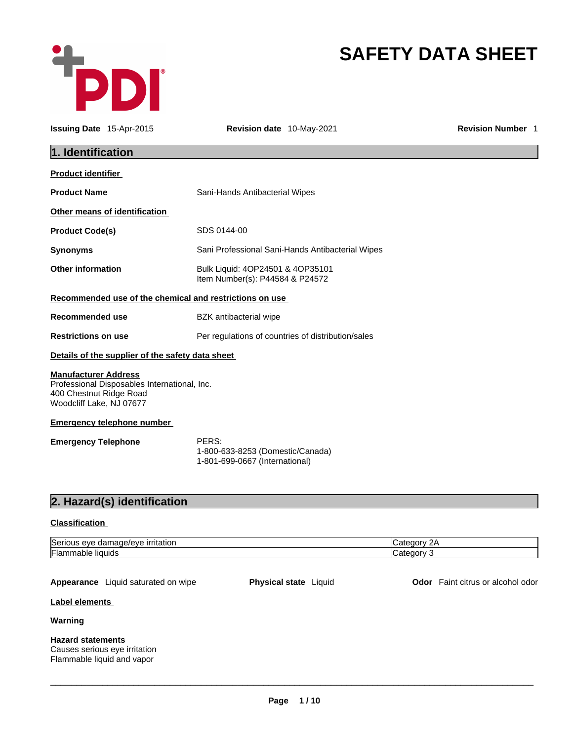

# **SAFETY DATA SHEET**

| <b>Issuing Date 15-Apr-2015</b>                                                    |                                              | <b>Revision date</b> 10-May-2021                                            | <b>Revision Number 1</b>          |
|------------------------------------------------------------------------------------|----------------------------------------------|-----------------------------------------------------------------------------|-----------------------------------|
| 1. Identification                                                                  |                                              |                                                                             |                                   |
| <b>Product identifier</b>                                                          |                                              |                                                                             |                                   |
| <b>Product Name</b>                                                                |                                              | Sani-Hands Antibacterial Wipes                                              |                                   |
|                                                                                    | Other means of identification                |                                                                             |                                   |
| <b>Product Code(s)</b>                                                             |                                              | SDS 0144-00                                                                 |                                   |
| <b>Synonyms</b>                                                                    |                                              | Sani Professional Sani-Hands Antibacterial Wipes                            |                                   |
| <b>Other information</b>                                                           |                                              | Bulk Liquid: 4OP24501 & 4OP35101<br>Item Number(s): P44584 & P24572         |                                   |
|                                                                                    |                                              | Recommended use of the chemical and restrictions on use                     |                                   |
| <b>Recommended use</b>                                                             |                                              | BZK antibacterial wipe                                                      |                                   |
| <b>Restrictions on use</b>                                                         |                                              | Per regulations of countries of distribution/sales                          |                                   |
|                                                                                    |                                              | Details of the supplier of the safety data sheet                            |                                   |
| <b>Manufacturer Address</b><br>400 Chestnut Ridge Road<br>Woodcliff Lake, NJ 07677 | Professional Disposables International, Inc. |                                                                             |                                   |
|                                                                                    | <b>Emergency telephone number</b>            |                                                                             |                                   |
| <b>Emergency Telephone</b>                                                         |                                              | PERS:<br>1-800-633-8253 (Domestic/Canada)<br>1-801-699-0667 (International) |                                   |
|                                                                                    | 2. Hazard(s) identification                  |                                                                             |                                   |
| <b>Classification</b>                                                              |                                              |                                                                             |                                   |
|                                                                                    | Serious eye damage/eye irritation            |                                                                             | Category 2A                       |
| Flammable liquids                                                                  |                                              |                                                                             | Category 3                        |
| Label elements                                                                     | Appearance Liquid saturated on wipe          | Physical state Liquid                                                       | Odor Faint citrus or alcohol odor |

## **Warning**

## **Hazard statements**

Causes serious eye irritation Flammable liquid and vapor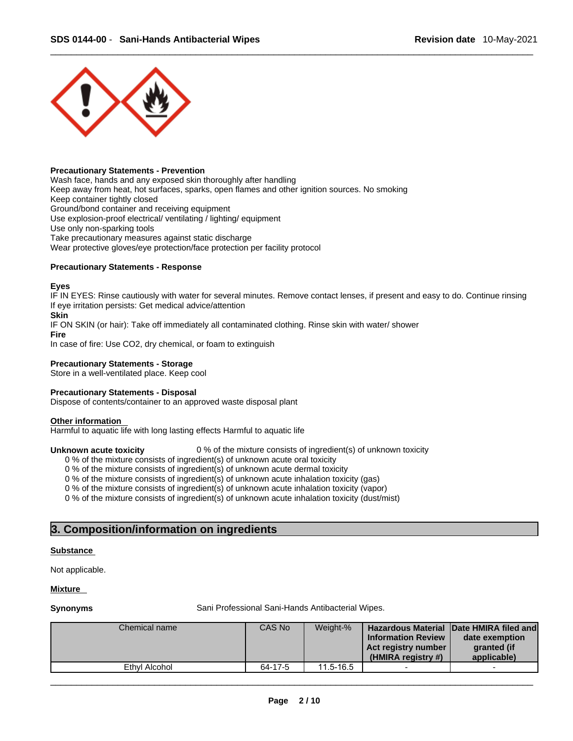

## **Precautionary Statements - Prevention**

Wash face, hands and any exposed skin thoroughly after handling Keep away from heat, hot surfaces, sparks, open flames and other ignition sources. No smoking Keep container tightly closed Ground/bond container and receiving equipment Use explosion-proof electrical/ ventilating / lighting/ equipment Use only non-sparking tools Take precautionary measures against static discharge Wear protective gloves/eye protection/face protection per facility protocol

## **Precautionary Statements - Response**

**Eyes**

IF IN EYES: Rinse cautiously with water for several minutes. Remove contact lenses, if present and easy to do. Continue rinsing If eye irritation persists: Get medical advice/attention

**Skin**

IF ON SKIN (or hair): Take off immediately all contaminated clothing. Rinse skin with water/ shower

**Fire**

In case of fire: Use CO2, dry chemical, or foam to extinguish

## **Precautionary Statements - Storage**

Store in a well-ventilated place. Keep cool

## **Precautionary Statements - Disposal**

Dispose of contents/container to an approved waste disposal plant

### **Other information**

Harmful to aquatic life with long lasting effects Harmful to aquatic life

**Unknown acute toxicity** 0 % of the mixture consists of ingredient(s) of unknown toxicity 0 % of the mixture consists of ingredient(s) of unknown acute oral toxicity **Precautionary Statements - Storage**<br>
Store in a well-ventilated place. Keep cool<br> **Precautionary Statements - Disposal**<br>
Dispose of contents/container to an approved waste disposal plant<br> **Other information**<br> **Alternful t** 

0 % of the mixture consists of ingredient(s) of unknown acute dermal toxicity

0 % of the mixture consists of ingredient(s) of unknown acute inhalation toxicity (gas)

0 % of the mixture consists of ingredient(s) of unknown acute inhalation toxicity (vapor)

0 % of the mixture consists of ingredient(s) of unknown acute inhalation toxicity (dust/mist)

### **Substance**

Not applicable.

### **Mixture**

**Synonyms Sani Professional Sani-Hands Antibacterial Wipes.** Sani Professional Sani-Hands Antibacterial Wipes.

| Chemical name | CAS No  | Weight-%      | <b>Information Review</b><br>Act registry number<br>$(HMIRA$ registry #) | Hazardous Material Date HMIRA filed and<br>date exemption<br>granted (if<br>applicable) |
|---------------|---------|---------------|--------------------------------------------------------------------------|-----------------------------------------------------------------------------------------|
| Ethyl Alcohol | 64-17-5 | $11.5 - 16.5$ |                                                                          | -                                                                                       |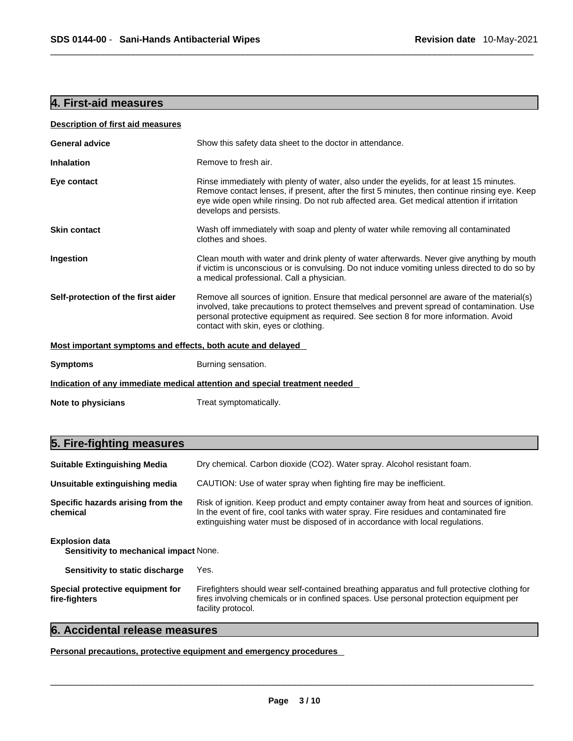## **4. First-aid measures**

| <b>Description of first aid measures</b>                    |                                                                                                                                                                                                                                                                                                                         |
|-------------------------------------------------------------|-------------------------------------------------------------------------------------------------------------------------------------------------------------------------------------------------------------------------------------------------------------------------------------------------------------------------|
| <b>General advice</b>                                       | Show this safety data sheet to the doctor in attendance.                                                                                                                                                                                                                                                                |
| <b>Inhalation</b>                                           | Remove to fresh air.                                                                                                                                                                                                                                                                                                    |
| Eye contact                                                 | Rinse immediately with plenty of water, also under the eyelids, for at least 15 minutes.<br>Remove contact lenses, if present, after the first 5 minutes, then continue rinsing eye. Keep<br>eye wide open while rinsing. Do not rub affected area. Get medical attention if irritation<br>develops and persists.       |
| <b>Skin contact</b>                                         | Wash off immediately with soap and plenty of water while removing all contaminated<br>clothes and shoes.                                                                                                                                                                                                                |
| Ingestion                                                   | Clean mouth with water and drink plenty of water afterwards. Never give anything by mouth<br>if victim is unconscious or is convulsing. Do not induce vomiting unless directed to do so by<br>a medical professional. Call a physician.                                                                                 |
| Self-protection of the first aider                          | Remove all sources of ignition. Ensure that medical personnel are aware of the material(s)<br>involved, take precautions to protect themselves and prevent spread of contamination. Use<br>personal protective equipment as required. See section 8 for more information. Avoid<br>contact with skin, eyes or clothing. |
| Most important symptoms and effects, both acute and delayed |                                                                                                                                                                                                                                                                                                                         |
| <b>Symptoms</b>                                             | Burning sensation.                                                                                                                                                                                                                                                                                                      |
|                                                             | Indication of any immediate medical attention and special treatment needed                                                                                                                                                                                                                                              |
| Note to physicians                                          | Treat symptomatically.                                                                                                                                                                                                                                                                                                  |

# **5. Fire-fighting measures**

| <b>Suitable Extinguishing Media</b>                             | Dry chemical. Carbon dioxide (CO2). Water spray. Alcohol resistant foam.                                                                                                                                                                                              |
|-----------------------------------------------------------------|-----------------------------------------------------------------------------------------------------------------------------------------------------------------------------------------------------------------------------------------------------------------------|
| Unsuitable extinguishing media                                  | CAUTION: Use of water spray when fighting fire may be inefficient.                                                                                                                                                                                                    |
| Specific hazards arising from the<br>chemical                   | Risk of ignition. Keep product and empty container away from heat and sources of ignition.<br>In the event of fire, cool tanks with water spray. Fire residues and contaminated fire<br>extinguishing water must be disposed of in accordance with local regulations. |
| <b>Explosion data</b><br>Sensitivity to mechanical impact None. |                                                                                                                                                                                                                                                                       |
| Sensitivity to static discharge                                 | Yes.                                                                                                                                                                                                                                                                  |
| Special protective equipment for<br>fire-fighters               | Firefighters should wear self-contained breathing apparatus and full protective clothing for<br>fires involving chemicals or in confined spaces. Use personal protection equipment per<br>facility protocol.                                                          |

## **6. Accidental release measures**

**Personal precautions, protective equipment and emergency procedures**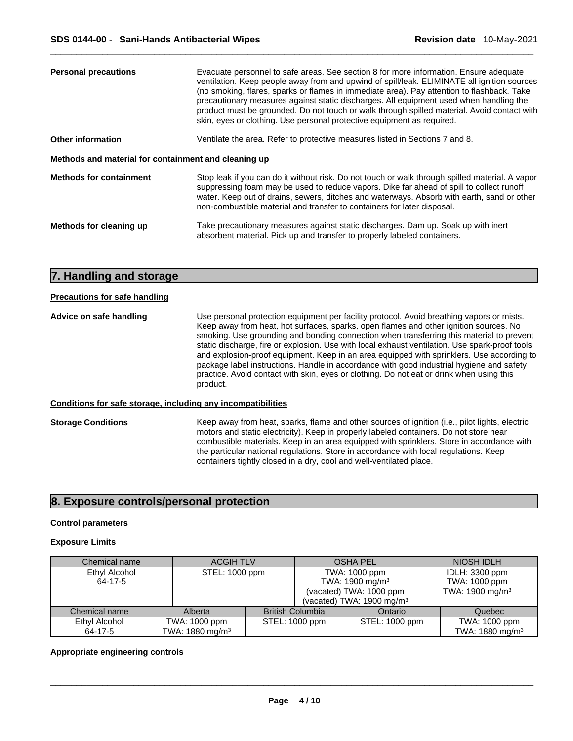| <b>Personal precautions</b>                          | Evacuate personnel to safe areas. See section 8 for more information. Ensure adequate<br>ventilation. Keep people away from and upwind of spill/leak. ELIMINATE all ignition sources<br>(no smoking, flares, sparks or flames in immediate area). Pay attention to flashback. Take<br>precautionary measures against static discharges. All equipment used when handling the<br>product must be grounded. Do not touch or walk through spilled material. Avoid contact with<br>skin, eyes or clothing. Use personal protective equipment as required. |
|------------------------------------------------------|-------------------------------------------------------------------------------------------------------------------------------------------------------------------------------------------------------------------------------------------------------------------------------------------------------------------------------------------------------------------------------------------------------------------------------------------------------------------------------------------------------------------------------------------------------|
| Other information                                    | Ventilate the area. Refer to protective measures listed in Sections 7 and 8.                                                                                                                                                                                                                                                                                                                                                                                                                                                                          |
| Methods and material for containment and cleaning up |                                                                                                                                                                                                                                                                                                                                                                                                                                                                                                                                                       |
| <b>Methods for containment</b>                       | Stop leak if you can do it without risk. Do not touch or walk through spilled material. A vapor<br>suppressing foam may be used to reduce vapors. Dike far ahead of spill to collect runoff<br>water. Keep out of drains, sewers, ditches and waterways. Absorb with earth, sand or other<br>non-combustible material and transfer to containers for later disposal.                                                                                                                                                                                  |
| Methods for cleaning up                              | Take precautionary measures against static discharges. Dam up. Soak up with inert<br>absorbent material. Pick up and transfer to properly labeled containers.                                                                                                                                                                                                                                                                                                                                                                                         |

## **7. Handling and storage**

## **Precautions for safe handling**

**Advice on safe handling** Use personal protection equipment per facility protocol. Avoid breathing vapors or mists. Keep away from heat, hot surfaces, sparks, open flames and other ignition sources. No smoking. Use grounding and bonding connection when transferring this material to prevent static discharge, fire or explosion. Use with local exhaust ventilation. Use spark-proof tools and explosion-proof equipment. Keep in an area equipped with sprinklers. Use according to package label instructions. Handle in accordance with good industrial hygiene and safety practice. Avoid contact with skin, eyes or clothing. Do not eat or drink when using this product.

### **Conditions for safe storage, including any incompatibilities**

**Storage Conditions** Keep away from heat, sparks, flame and other sources of ignition (i.e., pilot lights, electric motors and static electricity). Keep in properly labeled containers. Do not store near combustible materials. Keep in an area equipped with sprinklers. Store in accordance with the particular national regulations. Store in accordance with local regulations. Keep containers tightly closed in a dry, cool and well-ventilated place.

## **8. Exposure controls/personal protection**

## **Control parameters**

## **Exposure Limits**

| Chemical name |  | <b>ACGIH TLV</b>           |  | <b>OSHA PEL</b>             |                                      | NIOSH IDLH                  |
|---------------|--|----------------------------|--|-----------------------------|--------------------------------------|-----------------------------|
| Ethyl Alcohol |  | STEL: 1000 ppm             |  | TWA: 1000 ppm               |                                      | IDLH: 3300 ppm              |
| 64-17-5       |  |                            |  | TWA: 1900 mg/m <sup>3</sup> |                                      | TWA: 1000 ppm               |
|               |  |                            |  | (vacated) TWA: 1000 ppm     |                                      | TWA: 1900 mg/m <sup>3</sup> |
|               |  |                            |  |                             | (vacated) TWA: $1900 \text{ mg/m}^3$ |                             |
| Chemical name |  | Alberta                    |  | <b>British Columbia</b>     | Ontario                              | Quebec                      |
| Ethyl Alcohol |  | TWA: 1000 ppm              |  | STEL: 1000 ppm              | STEL: 1000 ppm                       | TWA: 1000 ppm               |
| 64-17-5       |  | TWA: $1880 \text{ mg/m}^3$ |  |                             |                                      | TWA: 1880 mg/m <sup>3</sup> |

### **Appropriate engineering controls**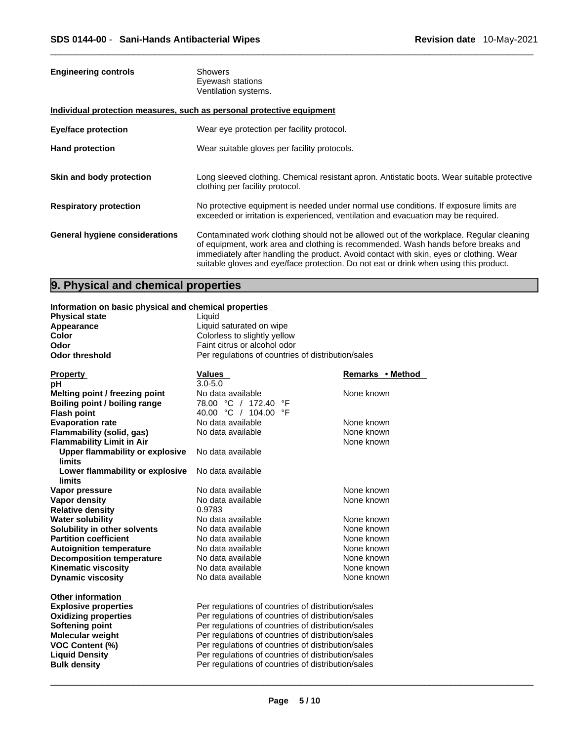| <b>Engineering controls</b>           | <b>Showers</b><br>Eyewash stations<br>Ventilation systems.                                                                                                                                                                                                                                                                                                       |
|---------------------------------------|------------------------------------------------------------------------------------------------------------------------------------------------------------------------------------------------------------------------------------------------------------------------------------------------------------------------------------------------------------------|
|                                       | Individual protection measures, such as personal protective equipment                                                                                                                                                                                                                                                                                            |
| Eye/face protection                   | Wear eye protection per facility protocol.                                                                                                                                                                                                                                                                                                                       |
| <b>Hand protection</b>                | Wear suitable gloves per facility protocols.                                                                                                                                                                                                                                                                                                                     |
| Skin and body protection              | Long sleeved clothing. Chemical resistant apron. Antistatic boots. Wear suitable protective<br>clothing per facility protocol.                                                                                                                                                                                                                                   |
| <b>Respiratory protection</b>         | No protective equipment is needed under normal use conditions. If exposure limits are<br>exceeded or irritation is experienced, ventilation and evacuation may be required.                                                                                                                                                                                      |
| <b>General hygiene considerations</b> | Contaminated work clothing should not be allowed out of the workplace. Regular cleaning<br>of equipment, work area and clothing is recommended. Wash hands before breaks and<br>immediately after handling the product. Avoid contact with skin, eyes or clothing. Wear<br>suitable gloves and eye/face protection. Do not eat or drink when using this product. |

# **9. Physical and chemical properties**

|                       | Information on basic physical and chemical properties |
|-----------------------|-------------------------------------------------------|
| <b>Physical state</b> | himi I                                                |

| <b>Physical state</b>                     | Liquid                                                                             |                  |  |  |
|-------------------------------------------|------------------------------------------------------------------------------------|------------------|--|--|
| Appearance                                | Liquid saturated on wipe                                                           |                  |  |  |
| <b>Color</b>                              | Colorless to slightly yellow                                                       |                  |  |  |
| Odor                                      | Faint citrus or alcohol odor<br>Per regulations of countries of distribution/sales |                  |  |  |
| <b>Odor threshold</b>                     |                                                                                    |                  |  |  |
| <b>Property</b>                           | <b>Values</b>                                                                      | Remarks • Method |  |  |
| рH                                        | $3.0 - 5.0$                                                                        |                  |  |  |
| Melting point / freezing point            | No data available                                                                  | None known       |  |  |
| Boiling point / boiling range             | 78.00 °C / 172.40<br>°F                                                            |                  |  |  |
| <b>Flash point</b>                        | 40.00 °C / 104.00 °F                                                               |                  |  |  |
| <b>Evaporation rate</b>                   | No data available                                                                  | None known       |  |  |
| Flammability (solid, gas)                 | No data available                                                                  | None known       |  |  |
| <b>Flammability Limit in Air</b>          |                                                                                    | None known       |  |  |
| Upper flammability or explosive           | No data available                                                                  |                  |  |  |
| limits                                    |                                                                                    |                  |  |  |
| Lower flammability or explosive<br>limits | No data available                                                                  |                  |  |  |
| Vapor pressure                            | No data available                                                                  | None known       |  |  |
| Vapor density                             | No data available                                                                  | None known       |  |  |
| <b>Relative density</b>                   | 0.9783                                                                             |                  |  |  |
| <b>Water solubility</b>                   | No data available                                                                  | None known       |  |  |
| Solubility in other solvents              | No data available                                                                  | None known       |  |  |
| <b>Partition coefficient</b>              | No data available                                                                  | None known       |  |  |
| <b>Autoignition temperature</b>           | No data available                                                                  | None known       |  |  |
| <b>Decomposition temperature</b>          | No data available                                                                  | None known       |  |  |
| <b>Kinematic viscosity</b>                | No data available                                                                  | None known       |  |  |
| <b>Dynamic viscosity</b>                  | No data available                                                                  | None known       |  |  |
| <b>Other information</b>                  |                                                                                    |                  |  |  |
| <b>Explosive properties</b>               | Per regulations of countries of distribution/sales                                 |                  |  |  |
| <b>Oxidizing properties</b>               | Per regulations of countries of distribution/sales                                 |                  |  |  |
| Softening point                           | Per regulations of countries of distribution/sales                                 |                  |  |  |
| <b>Molecular weight</b>                   | Per regulations of countries of distribution/sales                                 |                  |  |  |
| <b>VOC Content (%)</b>                    | Per regulations of countries of distribution/sales                                 |                  |  |  |
| <b>Liquid Density</b>                     | Per regulations of countries of distribution/sales                                 |                  |  |  |
| <b>Bulk density</b>                       | Per regulations of countries of distribution/sales                                 |                  |  |  |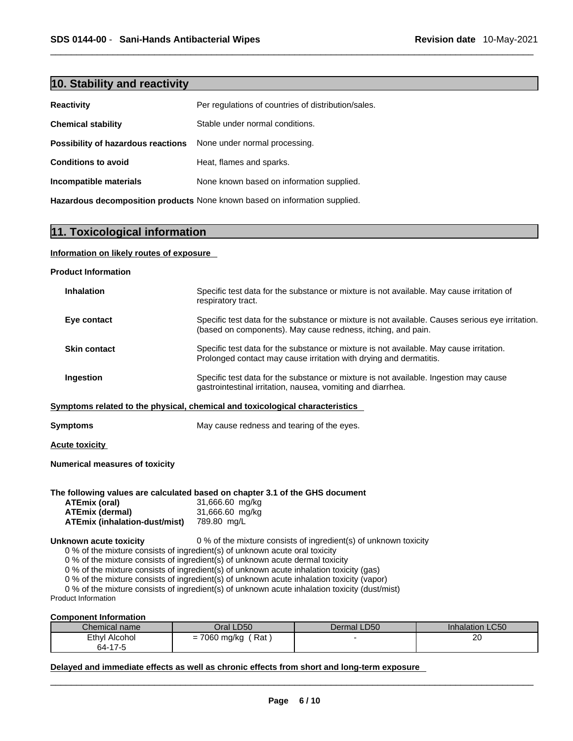## **10. Stability and reactivity**

| <b>Reactivity</b>                  | Per regulations of countries of distribution/sales. |
|------------------------------------|-----------------------------------------------------|
| <b>Chemical stability</b>          | Stable under normal conditions.                     |
| Possibility of hazardous reactions | None under normal processing.                       |
| <b>Conditions to avoid</b>         | Heat, flames and sparks.                            |
| Incompatible materials             | None known based on information supplied.           |

**Hazardous decomposition products** None known based on information supplied.

## **11. Toxicological information**

## **Information on likely routes of exposure**

## **Product Information**

| <b>Inhalation</b>   | Specific test data for the substance or mixture is not available. May cause irritation of<br>respiratory tract.                                                  |
|---------------------|------------------------------------------------------------------------------------------------------------------------------------------------------------------|
| Eye contact         | Specific test data for the substance or mixture is not available. Causes serious eye irritation.<br>(based on components). May cause redness, itching, and pain. |
| <b>Skin contact</b> | Specific test data for the substance or mixture is not available. May cause irritation.<br>Prolonged contact may cause irritation with drying and dermatitis.    |
| Ingestion           | Specific test data for the substance or mixture is not available. Ingestion may cause<br>gastrointestinal irritation, nausea, vomiting and diarrhea.             |

## **Symptoms related to the physical,chemical and toxicological characteristics**

| Symptoms |  | May cause redness and tearing of the eyes. |
|----------|--|--------------------------------------------|
|----------|--|--------------------------------------------|

**Acute toxicity**

## **Numerical measures of toxicity**

#### **The following values are calculated based on chapter 3.1 of the GHS document**

| ATEmix (oral)                 | 31,666.60 mg/kg |
|-------------------------------|-----------------|
| <b>ATEmix (dermal)</b>        | 31,666.60 mg/kg |
| ATEmix (inhalation-dust/mist) | 789.80 mg/L     |

**Unknown acute toxicity** 0 % of the mixture consists of ingredient(s) of unknown toxicity

0 % of the mixture consists of ingredient(s) of unknown acute oral toxicity  $0$  % of the mixture consists of ingredient(s) of unknown acute dermal toxicity

0 % of the mixture consists of ingredient(s) of unknown acute inhalation toxicity (gas)

0 % of the mixture consists of ingredient(s) of unknown acute inhalation toxicity (vapor)

0 % of the mixture consists of ingredient(s) of unknown acute inhalation toxicity (dust/mist)

Product Information

## **Component Information**

| Chemical name | Oral LD50                                                          | Dermal LD50 | <b>Inhalation LC50</b> |
|---------------|--------------------------------------------------------------------|-------------|------------------------|
| Ethyl Alcohol | Rat<br>7000<br>∪mq/ka<br>-<br>vov<br>$\overline{\phantom{0}}$<br>ີ |             | 20<br>$\sim$           |
| 64-17-5       |                                                                    |             |                        |

**Delayed and immediate effects as well as chronic effects from short and long-term exposure**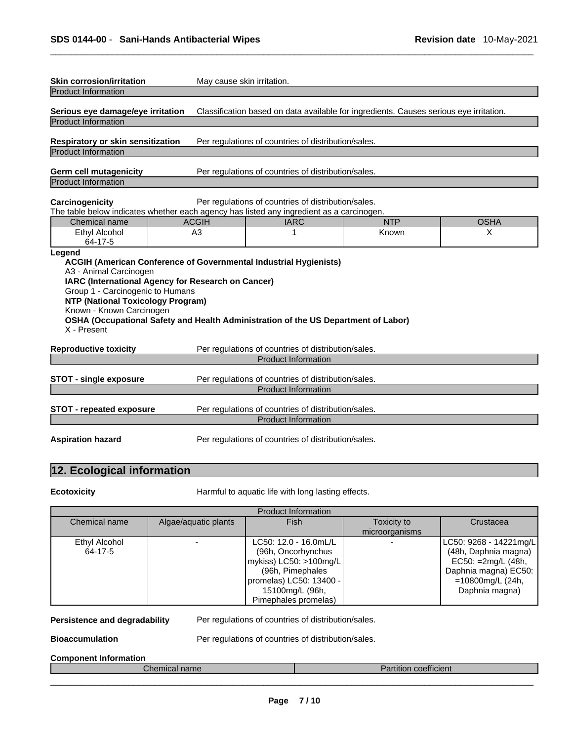| <b>Skin corrosion/irritation</b><br><b>Product Information</b>                                                                                              | May cause skin irritation.                                                                                                     |                                                                                    |                                                                                        |             |
|-------------------------------------------------------------------------------------------------------------------------------------------------------------|--------------------------------------------------------------------------------------------------------------------------------|------------------------------------------------------------------------------------|----------------------------------------------------------------------------------------|-------------|
| Serious eye damage/eye irritation<br><b>Product Information</b>                                                                                             |                                                                                                                                |                                                                                    | Classification based on data available for ingredients. Causes serious eye irritation. |             |
| Respiratory or skin sensitization<br><b>Product Information</b>                                                                                             |                                                                                                                                | Per regulations of countries of distribution/sales.                                |                                                                                        |             |
| <b>Germ cell mutagenicity</b><br><b>Product Information</b>                                                                                                 |                                                                                                                                | Per regulations of countries of distribution/sales.                                |                                                                                        |             |
| Carcinogenicity<br>The table below indicates whether each agency has listed any ingredient as a carcinogen.                                                 |                                                                                                                                | Per regulations of countries of distribution/sales.                                |                                                                                        |             |
| Chemical name                                                                                                                                               | <b>ACGIH</b>                                                                                                                   | <b>IARC</b>                                                                        | <b>NTP</b>                                                                             | <b>OSHA</b> |
| <b>Ethyl Alcohol</b><br>64-17-5                                                                                                                             | A <sub>3</sub>                                                                                                                 | 1                                                                                  | Known                                                                                  | X           |
| Legend<br>A3 - Animal Carcinogen<br>Group 1 - Carcinogenic to Humans<br><b>NTP (National Toxicology Program)</b><br>Known - Known Carcinogen<br>X - Present | <b>ACGIH (American Conference of Governmental Industrial Hygienists)</b><br>IARC (International Agency for Research on Cancer) | OSHA (Occupational Safety and Health Administration of the US Department of Labor) |                                                                                        |             |
| <b>Reproductive toxicity</b>                                                                                                                                |                                                                                                                                | Per regulations of countries of distribution/sales.                                |                                                                                        |             |
|                                                                                                                                                             |                                                                                                                                | <b>Product Information</b>                                                         |                                                                                        |             |
| <b>STOT - single exposure</b>                                                                                                                               |                                                                                                                                | Per regulations of countries of distribution/sales.<br><b>Product Information</b>  |                                                                                        |             |
| <b>STOT - repeated exposure</b>                                                                                                                             |                                                                                                                                | Per regulations of countries of distribution/sales.<br><b>Product Information</b>  |                                                                                        |             |
| <b>Aspiration hazard</b>                                                                                                                                    |                                                                                                                                | Per regulations of countries of distribution/sales.                                |                                                                                        |             |

# **12. Ecological information**

**Ecotoxicity Harmful to aquatic life with long lasting effects.** 

|               |                      | <b>Product Information</b> |                |                        |
|---------------|----------------------|----------------------------|----------------|------------------------|
| Chemical name | Algae/aquatic plants | <b>Fish</b>                | Toxicity to    | Crustacea              |
|               |                      |                            | microorganisms |                        |
| Ethyl Alcohol |                      | LC50: 12.0 - 16.0mL/L      |                | LC50: 9268 - 14221mg/L |
| 64-17-5       |                      | (96h, Oncorhynchus         |                | (48h, Daphnia magna)   |
|               |                      | mykiss) LC50: >100mg/L     |                | EC50: =2mg/L (48h,     |
|               |                      | (96h, Pimephales           |                | Daphnia magna) EC50:   |
|               |                      | promelas) LC50: 13400 -    |                | =10800mg/L (24h,       |
|               |                      | 15100mg/L (96h,            |                | Daphnia magna)         |
|               |                      | Pimephales promelas)       |                |                        |

**Persistence and degradability** Per regulations of countries of distribution/sales.

**Bioaccumulation Per regulations of countries of distribution/sales.** 

## **Component Information**

| $\sim$               | $\cdots$          |
|----------------------|-------------------|
| $\sim$ $\sim$ $\sim$ | $-11 - 1$         |
| name                 | <b>COEHICIENT</b> |
| IIJJI                | artitioi          |
| ________________     |                   |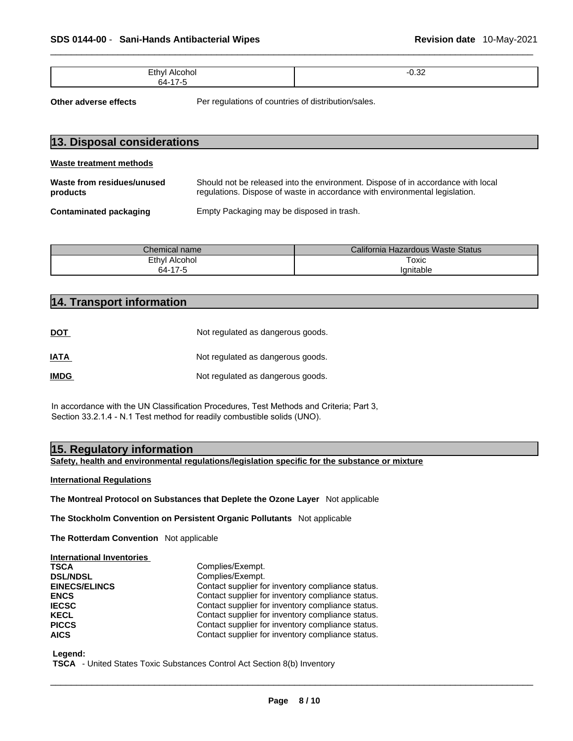| $-$<br>. . | $\sim$<br>$ -$ |
|------------|----------------|
|            |                |

| SDS 0144-00 - Sani-Hands Antibacterial Wipes                  |                                                     | Revision date 10-May-2021                                                                                                                                       |
|---------------------------------------------------------------|-----------------------------------------------------|-----------------------------------------------------------------------------------------------------------------------------------------------------------------|
| Ethyl Alcohol<br>64-17-5                                      |                                                     | $-0.32$                                                                                                                                                         |
| Other adverse effects                                         | Per regulations of countries of distribution/sales. |                                                                                                                                                                 |
| 13. Disposal considerations<br><b>Waste treatment methods</b> |                                                     |                                                                                                                                                                 |
| Waste from residues/unused<br>products                        |                                                     | Should not be released into the environment. Dispose of in accordance with local<br>regulations. Dispose of waste in accordance with environmental legislation. |
| <b>Contaminated packaging</b>                                 | Empty Packaging may be disposed in trash.           |                                                                                                                                                                 |
| Chemical name<br>Ethyl Alcohol<br>64-17-5                     |                                                     | California Hazardous Waste Status<br>Toxic<br>Ignitable                                                                                                         |
| 14. Transport information                                     |                                                     |                                                                                                                                                                 |
| <b>DOT</b>                                                    | Not regulated as dangerous goods.                   |                                                                                                                                                                 |

| Chemical name   | California Hazardous Waste Status |
|-----------------|-----------------------------------|
| Ethyl Alcohol   | Toxic                             |
| 64-17-5<br>ە- / | lanitable                         |

|                                  | ט וו דט                                                                                                                                                            |
|----------------------------------|--------------------------------------------------------------------------------------------------------------------------------------------------------------------|
|                                  |                                                                                                                                                                    |
| 14. Transport information        |                                                                                                                                                                    |
|                                  |                                                                                                                                                                    |
| <b>DOT</b>                       | Not regulated as dangerous goods.                                                                                                                                  |
|                                  |                                                                                                                                                                    |
| IATA                             | Not regulated as dangerous goods.                                                                                                                                  |
| <b>IMDG</b>                      | Not regulated as dangerous goods.                                                                                                                                  |
|                                  | In accordance with the UN Classification Procedures, Test Methods and Criteria; Part 3<br>Section 33.2.1.4 - N.1 Test method for readily combustible solids (UNO). |
| 15. Regulatory information       |                                                                                                                                                                    |
|                                  | Safety, health and environmental regulations/legislation specific for the substanc                                                                                 |
| <b>International Regulations</b> |                                                                                                                                                                    |

**Safety, health and environmental regulations/legislation specific for the substance or mixture**

**The Montreal Protocol on Substances that Deplete the Ozone Layer** Not applicable

**The Stockholm Convention on Persistent Organic Pollutants** Not applicable

**The Rotterdam Convention** Not applicable

| <b>International Inventories</b> |                                                   |
|----------------------------------|---------------------------------------------------|
| <b>TSCA</b>                      | Complies/Exempt.                                  |
| <b>DSL/NDSL</b>                  | Complies/Exempt.                                  |
| <b>EINECS/ELINCS</b>             | Contact supplier for inventory compliance status. |
| <b>ENCS</b>                      | Contact supplier for inventory compliance status. |
| <b>IECSC</b>                     | Contact supplier for inventory compliance status. |
| <b>KECL</b>                      | Contact supplier for inventory compliance status. |
| <b>PICCS</b>                     | Contact supplier for inventory compliance status. |
| <b>AICS</b>                      | Contact supplier for inventory compliance status. |

 **Legend:** 

 **TSCA** - United States Toxic Substances Control Act Section 8(b) Inventory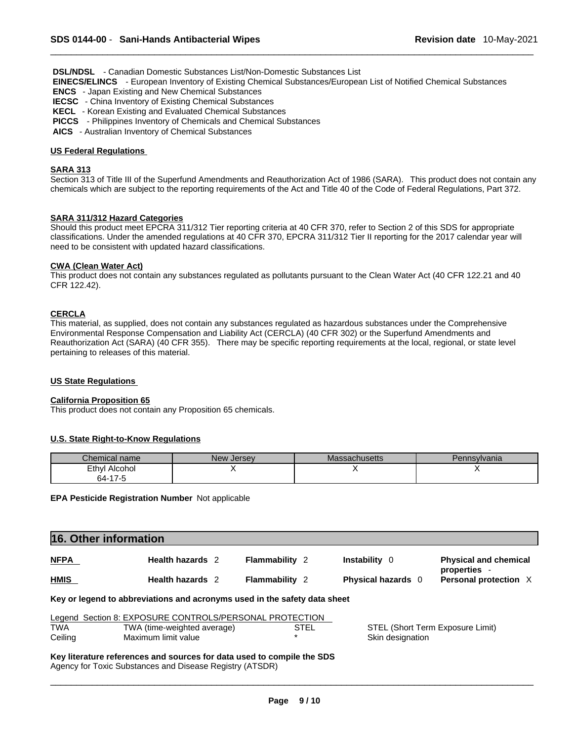**DSL/NDSL** - Canadian Domestic Substances List/Non-Domestic Substances List

 **EINECS/ELINCS** - European Inventory of Existing Chemical Substances/European List of Notified Chemical Substances

 **ENCS** - Japan Existing and New Chemical Substances

- **IECSC**  China Inventory of Existing Chemical Substances
- **KECL**  Korean Existing and Evaluated Chemical Substances

 **PICCS** - Philippines Inventory of Chemicals and Chemical Substances

 **AICS** - Australian Inventory of Chemical Substances

## **US Federal Regulations**

## **SARA 313**

Section 313 of Title III of the Superfund Amendments and Reauthorization Act of 1986 (SARA). This product does not contain any chemicals which are subject to the reporting requirements of the Act and Title 40 of the Code of Federal Regulations, Part 372.

## **SARA 311/312 Hazard Categories**

Should this product meet EPCRA 311/312 Tier reporting criteria at 40 CFR 370, refer to Section 2 of this SDS for appropriate classifications. Under the amended regulations at 40 CFR 370, EPCRA 311/312 Tier II reporting for the 2017 calendar year will need to be consistent with updated hazard classifications.

## **CWA** (Clean Water Act)

This product does not contain any substances regulated as pollutants pursuant to the Clean Water Act (40 CFR 122.21 and 40 CFR 122.42).

## **CERCLA**

This material, as supplied, does not contain any substances regulated as hazardous substances under the Comprehensive Environmental Response Compensation and Liability Act (CERCLA) (40 CFR 302) or the Superfund Amendments and Reauthorization Act (SARA) (40 CFR 355). There may be specific reporting requirements at the local, regional, or state level pertaining to releases of this material.

## **US State Regulations**

## **California Proposition 65**

This product does not contain any Proposition 65 chemicals.

## **U.S. State Right-to-Know Regulations**

| Chemical name      | New Jersev | Massachusetts | Pennsvivania |
|--------------------|------------|---------------|--------------|
| Ethvl<br>Alcohol   |            |               |              |
| 47r<br>64-<br>כ- / |            |               |              |

### **EPA Pesticide Registration Number** Not applicable

| 16. Other information |                                                                           |                       |                           |                                              |
|-----------------------|---------------------------------------------------------------------------|-----------------------|---------------------------|----------------------------------------------|
| <b>NFPA</b>           | <b>Health hazards</b> 2                                                   | <b>Flammability 2</b> | Instability 0             | <b>Physical and chemical</b><br>properties · |
| <b>HMIS</b>           | <b>Health hazards</b> 2                                                   | <b>Flammability 2</b> | <b>Physical hazards</b> 0 | Personal protection X                        |
|                       | Key or legend to abbreviations and acronyms used in the safety data sheet |                       |                           |                                              |
|                       | Legend Section 8: EXPOSURE CONTROLS/PERSONAL PROTECTION                   |                       |                           |                                              |
| <b>TWA</b>            | TWA (time-weighted average)                                               | <b>STEL</b>           |                           | STEL (Short Term Exposure Limit)             |
| Ceiling               | Maximum limit value                                                       |                       | Skin designation          |                                              |

**Key literature references and sources for data used to compile the SDS** Agency for Toxic Substances and Disease Registry (ATSDR)